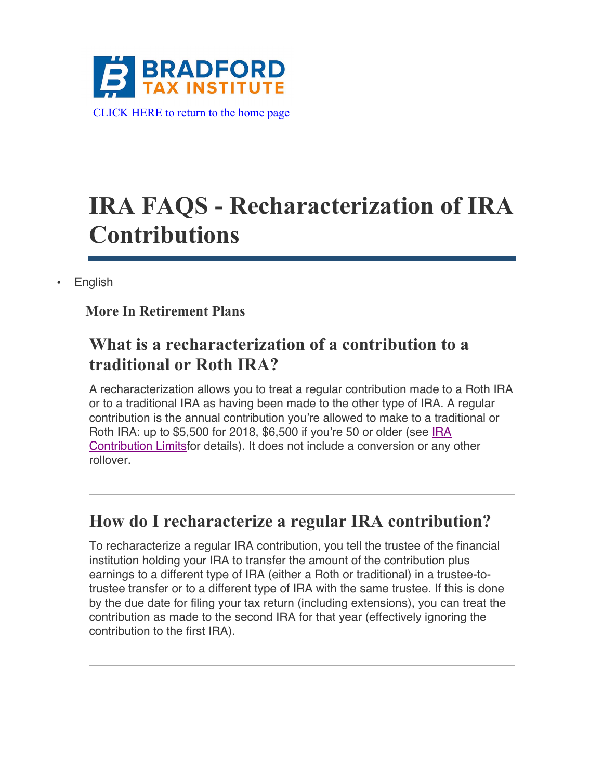

# **IRA FAQS - Recharacterization of IRA Contributions**

**English** 

#### **More In Retirement Plans**

# **What is a recharacterization of a contribution to a traditional or Roth IRA?**

A recharacterization allows you to treat a regular contribution made to a Roth IRA or to a traditional IRA as having been made to the other type of IRA. A regular contribution is the annual contribution you're allowed to make to a traditional or Roth IRA: up to \$5,500 for 2018, \$6,500 if you're 50 or older (see IRA Contribution Limitsfor details). It does not include a conversion or any other rollover.

### **How do I recharacterize a regular IRA contribution?**

To recharacterize a regular IRA contribution, you tell the trustee of the financial institution holding your IRA to transfer the amount of the contribution plus earnings to a different type of IRA (either a Roth or traditional) in a trustee-totrustee transfer or to a different type of IRA with the same trustee. If this is done by the due date for filing your tax return (including extensions), you can treat the contribution as made to the second IRA for that year (effectively ignoring the contribution to the first IRA).